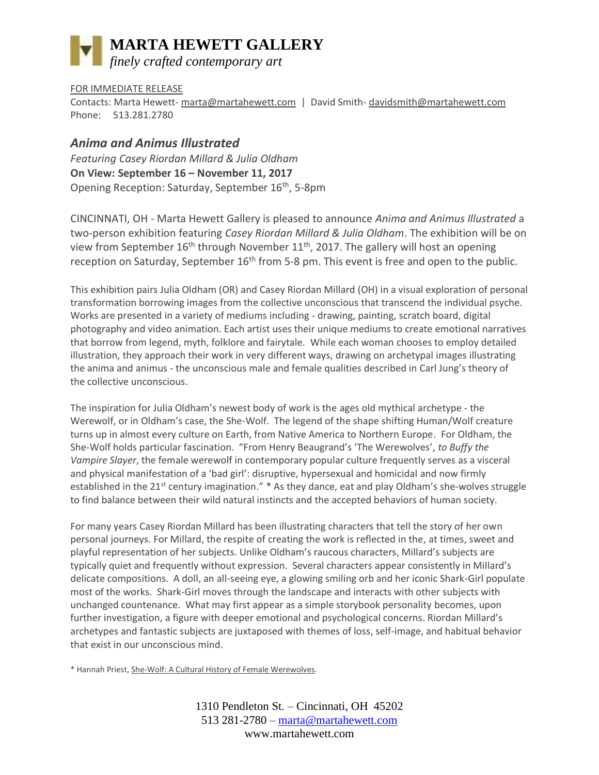# **MARTA HEWETT GALLERY** *finely crafted contemporary art*

### FOR IMMEDIATE RELEASE

Contacts: Marta Hewett- [marta@martahewett.com](mailto:marta@martahewett.com) | David Smith- [davidsmith@martahewett.com](mailto:davidsmith@martahewett.com) Phone: 513.281.2780

## *Anima and Animus Illustrated*

*Featuring Casey Riordan Millard & Julia Oldham* **On View: September 16 – November 11, 2017** Opening Reception: Saturday, September 16th, 5-8pm

CINCINNATI, OH - Marta Hewett Gallery is pleased to announce *Anima and Animus Illustrated* a two-person exhibition featuring *Casey Riordan Millard & Julia Oldham*. The exhibition will be on view from September  $16<sup>th</sup>$  through November  $11<sup>th</sup>$ , 2017. The gallery will host an opening reception on Saturday, September 16<sup>th</sup> from 5-8 pm. This event is free and open to the public.

This exhibition pairs Julia Oldham (OR) and Casey Riordan Millard (OH) in a visual exploration of personal transformation borrowing images from the collective unconscious that transcend the individual psyche. Works are presented in a variety of mediums including - drawing, painting, scratch board, digital photography and video animation. Each artist uses their unique mediums to create emotional narratives that borrow from legend, myth, folklore and fairytale. While each woman chooses to employ detailed illustration, they approach their work in very different ways, drawing on archetypal images illustrating the anima and animus - the unconscious male and female qualities described in Carl Jung's theory of the collective unconscious.

The inspiration for Julia Oldham's newest body of work is the ages old mythical archetype - the Werewolf, or in Oldham's case, the She-Wolf. The legend of the shape shifting Human/Wolf creature turns up in almost every culture on Earth, from Native America to Northern Europe. For Oldham, the She-Wolf holds particular fascination. "From Henry Beaugrand's 'The Werewolves', *to Buffy the Vampire Slayer*, the female werewolf in contemporary popular culture frequently serves as a visceral and physical manifestation of a 'bad girl': disruptive, hypersexual and homicidal and now firmly established in the 21<sup>st</sup> century imagination." \* As they dance, eat and play Oldham's she-wolves struggle to find balance between their wild natural instincts and the accepted behaviors of human society.

For many years Casey Riordan Millard has been illustrating characters that tell the story of her own personal journeys. For Millard, the respite of creating the work is reflected in the, at times, sweet and playful representation of her subjects. Unlike Oldham's raucous characters, Millard's subjects are typically quiet and frequently without expression. Several characters appear consistently in Millard's delicate compositions. A doll, an all-seeing eye, a glowing smiling orb and her iconic Shark-Girl populate most of the works. Shark-Girl moves through the landscape and interacts with other subjects with unchanged countenance. What may first appear as a simple storybook personality becomes, upon further investigation, a figure with deeper emotional and psychological concerns. Riordan Millard's archetypes and fantastic subjects are juxtaposed with themes of loss, self-image, and habitual behavior that exist in our unconscious mind.

\* Hannah Priest, She-Wolf: A Cultural History of Female Werewolves.

1310 Pendleton St. – Cincinnati, OH 45202 513 281-2780 – [marta@martahewett.com](mailto:marta@martahewett.com) www.martahewett.com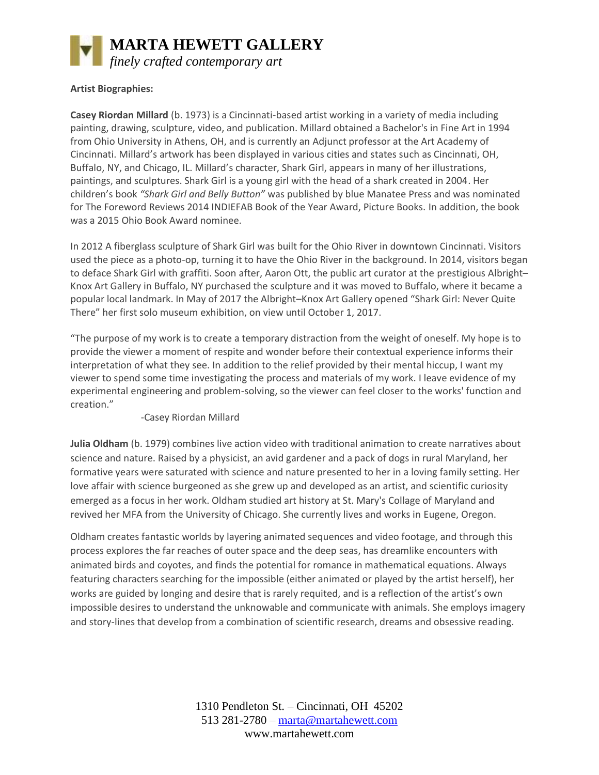

#### **Artist Biographies:**

**Casey Riordan Millard** (b. 1973) is a Cincinnati-based artist working in a variety of media including painting, drawing, sculpture, video, and publication. Millard obtained a Bachelor's in Fine Art in 1994 from Ohio University in Athens, OH, and is currently an Adjunct professor at the Art Academy of Cincinnati. Millard's artwork has been displayed in various cities and states such as Cincinnati, OH, Buffalo, NY, and Chicago, IL. Millard's character, Shark Girl, appears in many of her illustrations, paintings, and sculptures. Shark Girl is a young girl with the head of a shark created in 2004. Her children's book *"Shark Girl and Belly Button"* was published by blue Manatee Press and was nominated for The Foreword Reviews 2014 INDIEFAB Book of the Year Award, Picture Books. In addition, the book was a 2015 Ohio Book Award nominee.

In 2012 A fiberglass sculpture of Shark Girl was built for the Ohio River in downtown Cincinnati. Visitors used the piece as a photo-op, turning it to have the Ohio River in the background. In 2014, visitors began to deface Shark Girl with graffiti. Soon after, Aaron Ott, the public art curator at the prestigious Albright– Knox Art Gallery in Buffalo, NY purchased the sculpture and it was moved to Buffalo, where it became a popular local landmark. In May of 2017 the Albright–Knox Art Gallery opened "Shark Girl: Never Quite There" her first solo museum exhibition, on view until October 1, 2017.

"The purpose of my work is to create a temporary distraction from the weight of oneself. My hope is to provide the viewer a moment of respite and wonder before their contextual experience informs their interpretation of what they see. In addition to the relief provided by their mental hiccup, I want my viewer to spend some time investigating the process and materials of my work. I leave evidence of my experimental engineering and problem-solving, so the viewer can feel closer to the works' function and creation."

-Casey Riordan Millard

**Julia Oldham** (b. 1979) combines live action video with traditional animation to create narratives about science and nature. Raised by a physicist, an avid gardener and a pack of dogs in rural Maryland, her formative years were saturated with science and nature presented to her in a loving family setting. Her love affair with science burgeoned as she grew up and developed as an artist, and scientific curiosity emerged as a focus in her work. Oldham studied art history at St. Mary's Collage of Maryland and revived her MFA from the University of Chicago. She currently lives and works in Eugene, Oregon.

Oldham creates fantastic worlds by layering animated sequences and video footage, and through this process explores the far reaches of outer space and the deep seas, has dreamlike encounters with animated birds and coyotes, and finds the potential for romance in mathematical equations. Always featuring characters searching for the impossible (either animated or played by the artist herself), her works are guided by longing and desire that is rarely requited, and is a reflection of the artist's own impossible desires to understand the unknowable and communicate with animals. She employs imagery and story-lines that develop from a combination of scientific research, dreams and obsessive reading.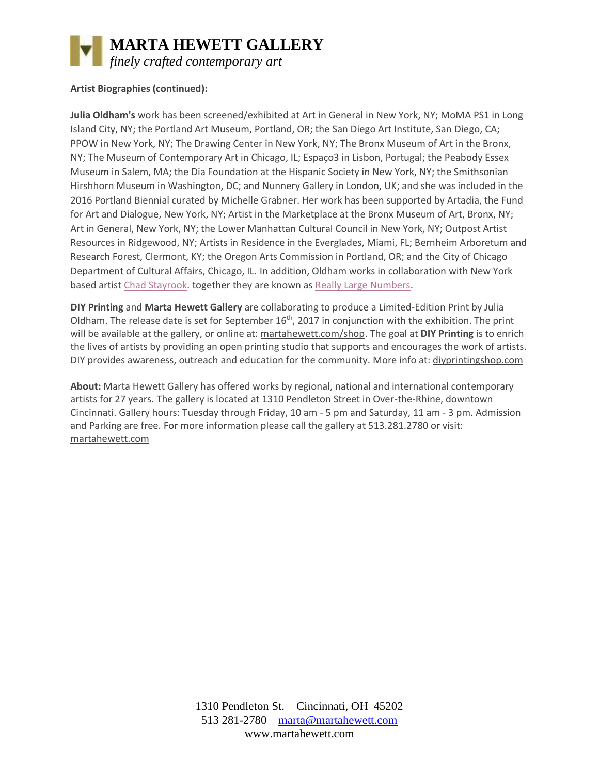

## **Artist Biographies (continued):**

**Julia Oldham's** work has been screened/exhibited at Art in General in New York, NY; MoMA PS1 in Long Island City, NY; the Portland Art Museum, Portland, OR; the San Diego Art Institute, San Diego, CA; PPOW in New York, NY; The Drawing Center in New York, NY; The Bronx Museum of Art in the Bronx, NY; The Museum of Contemporary Art in Chicago, IL; Espaço3 in Lisbon, Portugal; the Peabody Essex Museum in Salem, MA; the Dia Foundation at the Hispanic Society in New York, NY; the Smithsonian Hirshhorn Museum in Washington, DC; and Nunnery Gallery in London, UK; and she was included in the 2016 Portland Biennial curated by Michelle Grabner. Her work has been supported by Artadia, the Fund for Art and Dialogue, New York, NY; Artist in the Marketplace at the Bronx Museum of Art, Bronx, NY; Art in General, New York, NY; the Lower Manhattan Cultural Council in New York, NY; Outpost Artist Resources in Ridgewood, NY; Artists in Residence in the Everglades, Miami, FL; Bernheim Arboretum and Research Forest, Clermont, KY; the Oregon Arts Commission in Portland, OR; and the City of Chicago Department of Cultural Affairs, Chicago, IL. In addition, Oldham works in collaboration with New York based artist [Chad Stayrook.](http://www.chadstayrook.com/) together they are known as [Really Large Numbers.](http://cargocollective.com/reallylargenumbers)

**DIY Printing** and **Marta Hewett Gallery** are collaborating to produce a Limited-Edition Print by Julia Oldham. The release date is set for September 16<sup>th</sup>, 2017 in conjunction with the exhibition. The print will be available at the gallery, or online at: [martahewett.com/shop.](www.martahewett.com/shop) The goal at **DIY Printing** is to enrich the lives of artists by providing an open printing studio that supports and encourages the work of artists. DIY provides awareness, outreach and education for the community. More info at[: diyprintingshop.com](www.diyprintingshop.com)

**About:** Marta Hewett Gallery has offered works by regional, national and international contemporary artists for 27 years. The gallery is located at 1310 Pendleton Street in Over-the-Rhine, downtown Cincinnati. Gallery hours: Tuesday through Friday, 10 am - 5 pm and Saturday, 11 am - 3 pm. Admission and Parking are free. For more information please call the gallery at 513.281.2780 or visit: [martahewett.com](http://www.martahewett.com/)